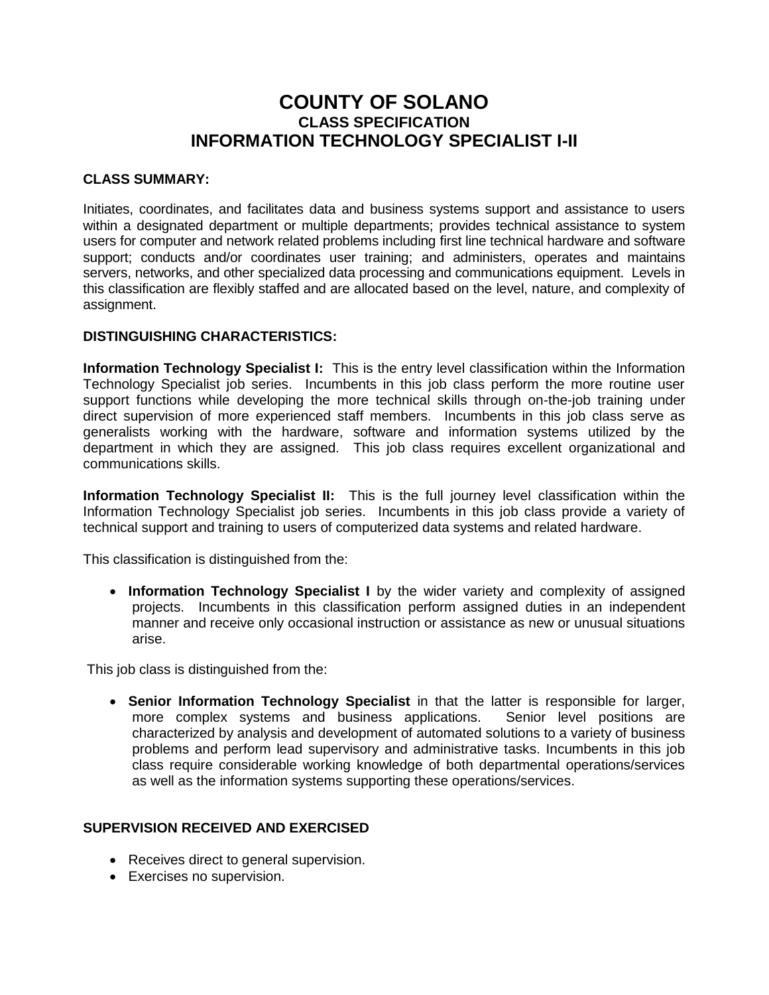# **COUNTY OF SOLANO CLASS SPECIFICATION INFORMATION TECHNOLOGY SPECIALIST I-II**

### **CLASS SUMMARY:**

Initiates, coordinates, and facilitates data and business systems support and assistance to users within a designated department or multiple departments; provides technical assistance to system users for computer and network related problems including first line technical hardware and software support; conducts and/or coordinates user training; and administers, operates and maintains servers, networks, and other specialized data processing and communications equipment. Levels in this classification are flexibly staffed and are allocated based on the level, nature, and complexity of assignment.

### **DISTINGUISHING CHARACTERISTICS:**

**Information Technology Specialist I:** This is the entry level classification within the Information Technology Specialist job series. Incumbents in this job class perform the more routine user support functions while developing the more technical skills through on-the-job training under direct supervision of more experienced staff members. Incumbents in this job class serve as generalists working with the hardware, software and information systems utilized by the department in which they are assigned. This job class requires excellent organizational and communications skills.

**Information Technology Specialist II:** This is the full journey level classification within the Information Technology Specialist job series. Incumbents in this job class provide a variety of technical support and training to users of computerized data systems and related hardware.

This classification is distinguished from the:

 **Information Technology Specialist I** by the wider variety and complexity of assigned projects. Incumbents in this classification perform assigned duties in an independent manner and receive only occasional instruction or assistance as new or unusual situations arise.

This job class is distinguished from the:

 **Senior Information Technology Specialist** in that the latter is responsible for larger, more complex systems and business applications. Senior level positions are characterized by analysis and development of automated solutions to a variety of business problems and perform lead supervisory and administrative tasks. Incumbents in this job class require considerable working knowledge of both departmental operations/services as well as the information systems supporting these operations/services.

### **SUPERVISION RECEIVED AND EXERCISED**

- Receives direct to general supervision.
- Exercises no supervision.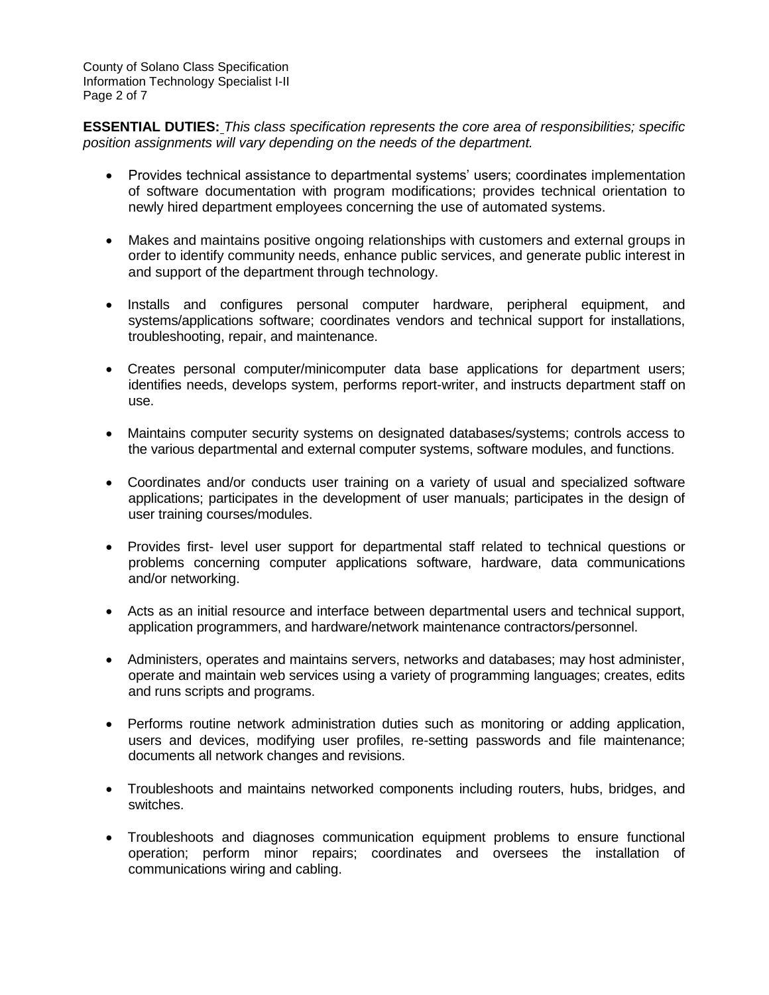County of Solano Class Specification Information Technology Specialist I-II Page 2 of 7

**ESSENTIAL DUTIES:** *This class specification represents the core area of responsibilities; specific position assignments will vary depending on the needs of the department.*

- Provides technical assistance to departmental systems' users; coordinates implementation of software documentation with program modifications; provides technical orientation to newly hired department employees concerning the use of automated systems.
- Makes and maintains positive ongoing relationships with customers and external groups in order to identify community needs, enhance public services, and generate public interest in and support of the department through technology.
- Installs and configures personal computer hardware, peripheral equipment, and systems/applications software; coordinates vendors and technical support for installations, troubleshooting, repair, and maintenance.
- Creates personal computer/minicomputer data base applications for department users; identifies needs, develops system, performs report-writer, and instructs department staff on use.
- Maintains computer security systems on designated databases/systems; controls access to the various departmental and external computer systems, software modules, and functions.
- Coordinates and/or conducts user training on a variety of usual and specialized software applications; participates in the development of user manuals; participates in the design of user training courses/modules.
- Provides first- level user support for departmental staff related to technical questions or problems concerning computer applications software, hardware, data communications and/or networking.
- Acts as an initial resource and interface between departmental users and technical support, application programmers, and hardware/network maintenance contractors/personnel.
- Administers, operates and maintains servers, networks and databases; may host administer, operate and maintain web services using a variety of programming languages; creates, edits and runs scripts and programs.
- Performs routine network administration duties such as monitoring or adding application, users and devices, modifying user profiles, re-setting passwords and file maintenance; documents all network changes and revisions.
- Troubleshoots and maintains networked components including routers, hubs, bridges, and switches.
- Troubleshoots and diagnoses communication equipment problems to ensure functional operation; perform minor repairs; coordinates and oversees the installation of communications wiring and cabling.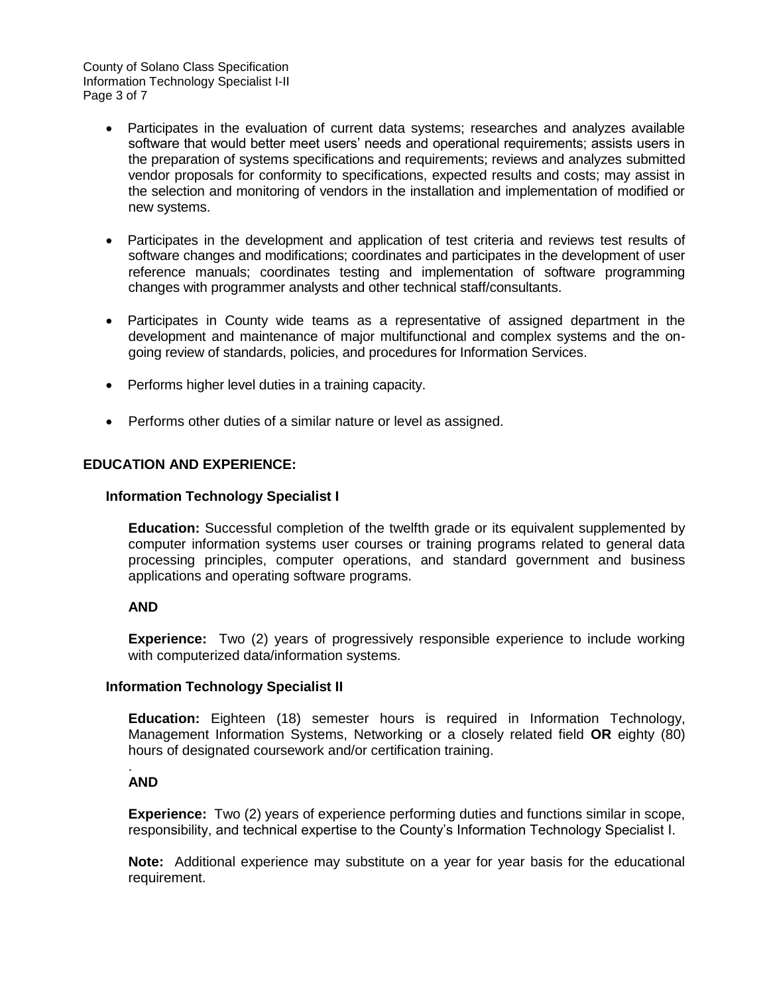County of Solano Class Specification Information Technology Specialist I-II Page 3 of 7

- Participates in the evaluation of current data systems; researches and analyzes available software that would better meet users' needs and operational requirements; assists users in the preparation of systems specifications and requirements; reviews and analyzes submitted vendor proposals for conformity to specifications, expected results and costs; may assist in the selection and monitoring of vendors in the installation and implementation of modified or new systems.
- Participates in the development and application of test criteria and reviews test results of software changes and modifications; coordinates and participates in the development of user reference manuals; coordinates testing and implementation of software programming changes with programmer analysts and other technical staff/consultants.
- Participates in County wide teams as a representative of assigned department in the development and maintenance of major multifunctional and complex systems and the ongoing review of standards, policies, and procedures for Information Services.
- Performs higher level duties in a training capacity.
- Performs other duties of a similar nature or level as assigned.

### **EDUCATION AND EXPERIENCE:**

#### **Information Technology Specialist I**

**Education:** Successful completion of the twelfth grade or its equivalent supplemented by computer information systems user courses or training programs related to general data processing principles, computer operations, and standard government and business applications and operating software programs.

#### **AND**

**Experience:** Two (2) years of progressively responsible experience to include working with computerized data/information systems.

#### **Information Technology Specialist II**

**Education:** Eighteen (18) semester hours is required in Information Technology, Management Information Systems, Networking or a closely related field **OR** eighty (80) hours of designated coursework and/or certification training.

#### . **AND**

**Experience:** Two (2) years of experience performing duties and functions similar in scope, responsibility, and technical expertise to the County's Information Technology Specialist I.

**Note:** Additional experience may substitute on a year for year basis for the educational requirement.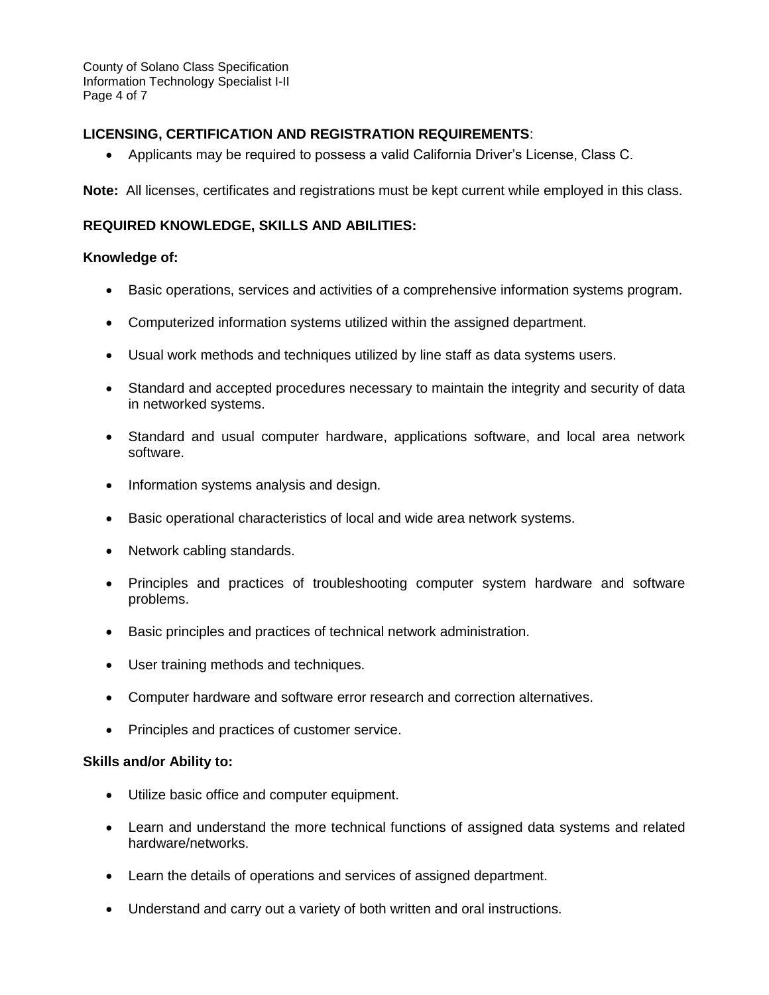County of Solano Class Specification Information Technology Specialist I-II Page 4 of 7

## **LICENSING, CERTIFICATION AND REGISTRATION REQUIREMENTS**:

Applicants may be required to possess a valid California Driver's License, Class C.

**Note:** All licenses, certificates and registrations must be kept current while employed in this class.

### **REQUIRED KNOWLEDGE, SKILLS AND ABILITIES:**

### **Knowledge of:**

- Basic operations, services and activities of a comprehensive information systems program.
- Computerized information systems utilized within the assigned department.
- Usual work methods and techniques utilized by line staff as data systems users.
- Standard and accepted procedures necessary to maintain the integrity and security of data in networked systems.
- Standard and usual computer hardware, applications software, and local area network software.
- Information systems analysis and design.
- Basic operational characteristics of local and wide area network systems.
- Network cabling standards.
- Principles and practices of troubleshooting computer system hardware and software problems.
- Basic principles and practices of technical network administration.
- User training methods and techniques.
- Computer hardware and software error research and correction alternatives.
- Principles and practices of customer service.

#### **Skills and/or Ability to:**

- Utilize basic office and computer equipment.
- Learn and understand the more technical functions of assigned data systems and related hardware/networks.
- Learn the details of operations and services of assigned department.
- Understand and carry out a variety of both written and oral instructions.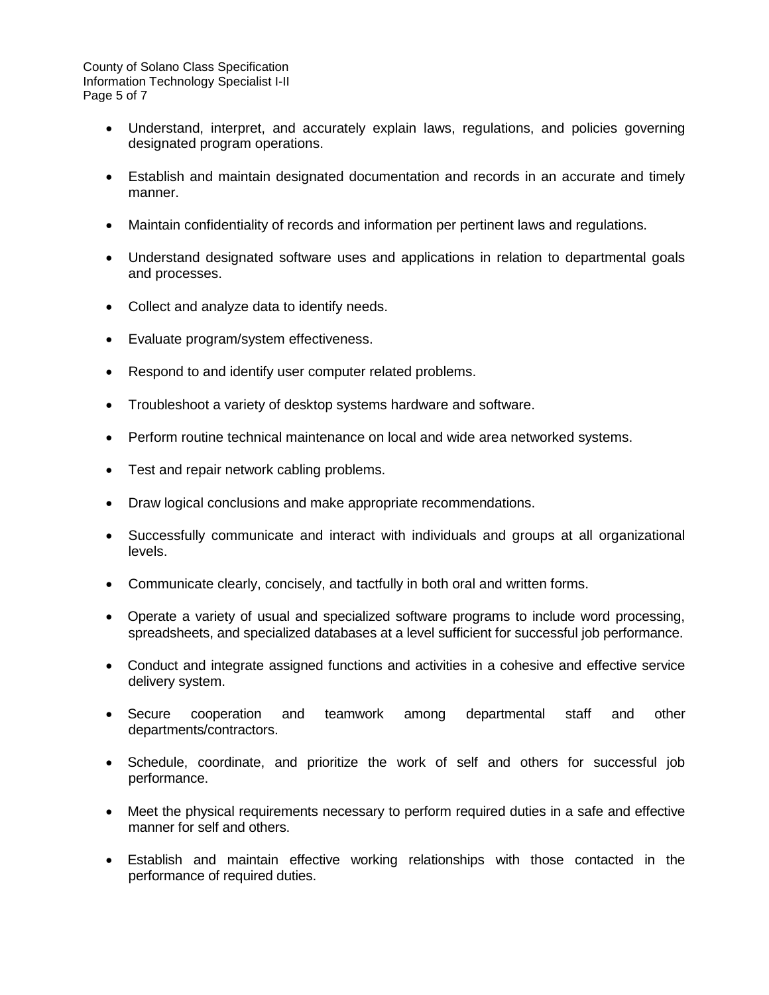County of Solano Class Specification Information Technology Specialist I-II Page 5 of 7

- Understand, interpret, and accurately explain laws, regulations, and policies governing designated program operations.
- Establish and maintain designated documentation and records in an accurate and timely manner.
- Maintain confidentiality of records and information per pertinent laws and regulations.
- Understand designated software uses and applications in relation to departmental goals and processes.
- Collect and analyze data to identify needs.
- Evaluate program/system effectiveness.
- Respond to and identify user computer related problems.
- Troubleshoot a variety of desktop systems hardware and software.
- Perform routine technical maintenance on local and wide area networked systems.
- Test and repair network cabling problems.
- Draw logical conclusions and make appropriate recommendations.
- Successfully communicate and interact with individuals and groups at all organizational levels.
- Communicate clearly, concisely, and tactfully in both oral and written forms.
- Operate a variety of usual and specialized software programs to include word processing, spreadsheets, and specialized databases at a level sufficient for successful job performance.
- Conduct and integrate assigned functions and activities in a cohesive and effective service delivery system.
- Secure cooperation and teamwork among departmental staff and other departments/contractors.
- Schedule, coordinate, and prioritize the work of self and others for successful job performance.
- Meet the physical requirements necessary to perform required duties in a safe and effective manner for self and others.
- Establish and maintain effective working relationships with those contacted in the performance of required duties.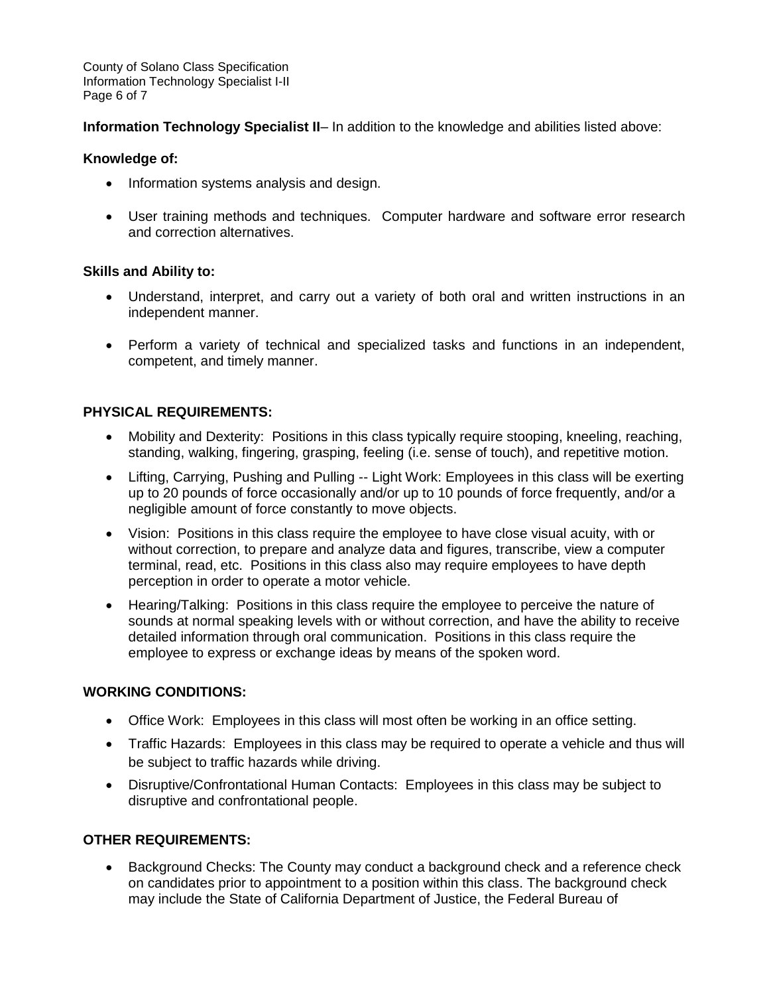County of Solano Class Specification Information Technology Specialist I-II Page 6 of 7

**Information Technology Specialist II– In addition to the knowledge and abilities listed above:** 

### **Knowledge of:**

- Information systems analysis and design.
- User training methods and techniques. Computer hardware and software error research and correction alternatives.

#### **Skills and Ability to:**

- Understand, interpret, and carry out a variety of both oral and written instructions in an independent manner.
- Perform a variety of technical and specialized tasks and functions in an independent, competent, and timely manner.

### **PHYSICAL REQUIREMENTS:**

- Mobility and Dexterity: Positions in this class typically require stooping, kneeling, reaching, standing, walking, fingering, grasping, feeling (i.e. sense of touch), and repetitive motion.
- Lifting, Carrying, Pushing and Pulling -- Light Work: Employees in this class will be exerting up to 20 pounds of force occasionally and/or up to 10 pounds of force frequently, and/or a negligible amount of force constantly to move objects.
- Vision: Positions in this class require the employee to have close visual acuity, with or without correction, to prepare and analyze data and figures, transcribe, view a computer terminal, read, etc. Positions in this class also may require employees to have depth perception in order to operate a motor vehicle.
- Hearing/Talking: Positions in this class require the employee to perceive the nature of sounds at normal speaking levels with or without correction, and have the ability to receive detailed information through oral communication. Positions in this class require the employee to express or exchange ideas by means of the spoken word.

### **WORKING CONDITIONS:**

- Office Work: Employees in this class will most often be working in an office setting.
- Traffic Hazards: Employees in this class may be required to operate a vehicle and thus will be subject to traffic hazards while driving.
- Disruptive/Confrontational Human Contacts: Employees in this class may be subject to disruptive and confrontational people.

### **OTHER REQUIREMENTS:**

• Background Checks: The County may conduct a background check and a reference check on candidates prior to appointment to a position within this class. The background check may include the State of California Department of Justice, the Federal Bureau of